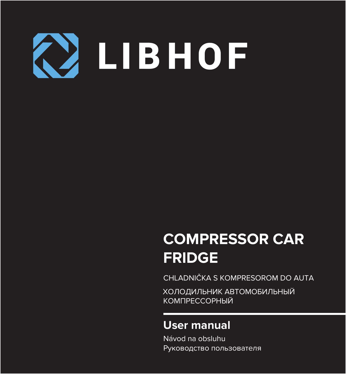

# **COMPRESSOR CAR FRIDGE**

CHLADNIČKA S KOMPRESOROM DO AUTA

ХОЛОДИЛЬНИК АВТОМОБИЛЬНЫЙ КОМПРЕССОРНЫЙ

## **User manual**

Návod na obsluhu Руководство пользователя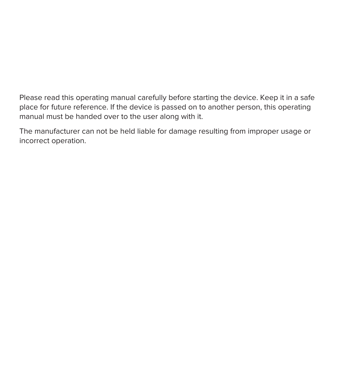Please read this operating manual carefully before starting the device. Keep it in a safe place for future reference. If the device is passed on to another person, this operating manual must be handed over to the user along with it.

The manufacturer can not be held liable for damage resulting from improper usage or incorrect operation.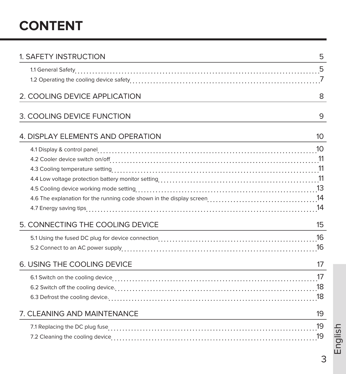# **CONTENT**

| 1. SAFETY INSTRUCTION             | 5  |
|-----------------------------------|----|
|                                   |    |
|                                   |    |
| 2. COOLING DEVICE APPLICATION     | 8  |
| 3. COOLING DEVICE FUNCTION        | 9  |
| 4. DISPLAY ELEMENTS AND OPERATION | 10 |
|                                   |    |
|                                   |    |
|                                   |    |
|                                   |    |
|                                   |    |
|                                   |    |
|                                   |    |
| 5. CONNECTING THE COOLING DEVICE  | 15 |
|                                   |    |
|                                   |    |
| 6. USING THE COOLING DEVICE       | 17 |
|                                   |    |
|                                   |    |
|                                   |    |
| 7. CLEANING AND MAINTENANCE       | 19 |
|                                   | 19 |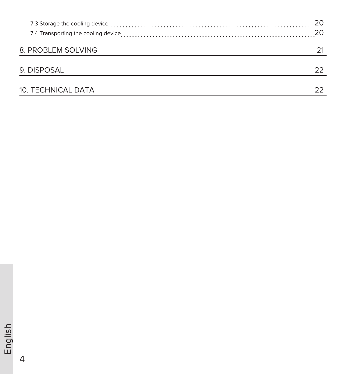|                    | 20 |
|--------------------|----|
|                    | 20 |
|                    |    |
| 8. PROBLEM SOLVING |    |
|                    |    |
| 9. DISPOSAL        | フフ |
|                    |    |
| 10. TECHNICAL DATA |    |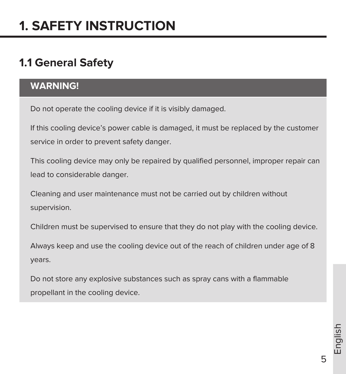## **1.1 General Safety**

#### **WARNING!**

Do not operate the cooling device if it is visibly damaged.

If this cooling device's power cable is damaged, it must be replaced by the customer service in order to prevent safety danger.

This cooling device may only be repaired by qualified personnel, improper repair can lead to considerable danger.

Cleaning and user maintenance must not be carried out by children without supervision.

Children must be supervised to ensure that they do not play with the cooling device.

Always keep and use the cooling device out of the reach of children under age of 8 years.

Do not store any explosive substances such as spray cans with a flammable propellant in the cooling device.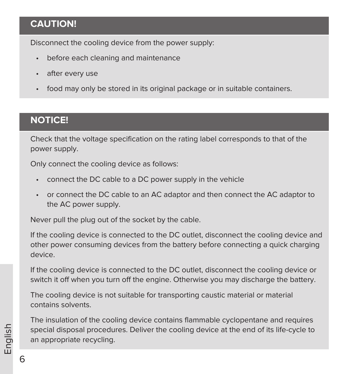## **CAUTION!**

Disconnect the cooling device from the power supply:

- before each cleaning and maintenance
- after every use
- food may only be stored in its original package or in suitable containers.

#### **NOTICE!**

Check that the voltage specification on the rating label corresponds to that of the power supply.

Only connect the cooling device as follows:

- connect the DC cable to a DC power supply in the vehicle
- or connect the DC cable to an AC adaptor and then connect the AC adaptor to the AC power supply.

Never pull the plug out of the socket by the cable.

If the cooling device is connected to the DC outlet, disconnect the cooling device and other power consuming devices from the battery before connecting a quick charging device.

If the cooling device is connected to the DC outlet, disconnect the cooling device or switch it off when you turn off the engine. Otherwise you may discharge the battery.

The cooling device is not suitable for transporting caustic material or material contains solvents.

The insulation of the cooling device contains flammable cyclopentane and requires special disposal procedures. Deliver the cooling device at the end of its life-cycle to an appropriate recycling.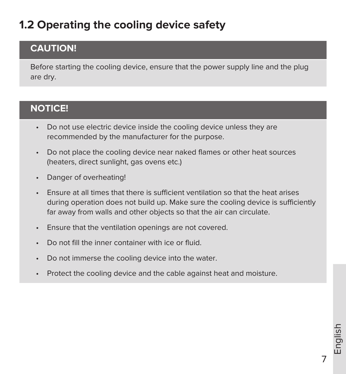# **1.2 Operating the cooling device safety**

## **CAUTION!**

Before starting the cooling device, ensure that the power supply line and the plug are dry.

## **NOTICE!**

- Do not use electric device inside the cooling device unless they are recommended by the manufacturer for the purpose.
- Do not place the cooling device near naked flames or other heat sources (heaters, direct sunlight, gas ovens etc.)
- Danger of overheating!
- Ensure at all times that there is sufficient ventilation so that the heat arises during operation does not build up. Make sure the cooling device is sufficiently far away from walls and other objects so that the air can circulate.
- Ensure that the ventilation openings are not covered.
- Do not fill the inner container with ice or fluid.
- Do not immerse the cooling device into the water.
- Protect the cooling device and the cable against heat and moisture.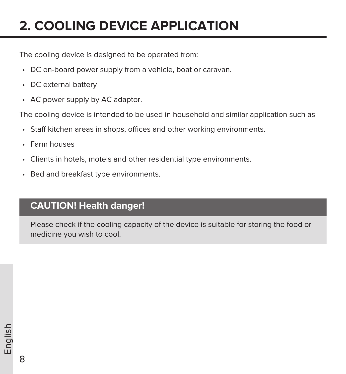# **2. COOLING DEVICE APPLICATION**

The cooling device is designed to be operated from:

- DC on-board power supply from a vehicle, boat or caravan.
- DC external battery
- AC power supply by AC adaptor.

The cooling device is intended to be used in household and similar application such as

- Staff kitchen areas in shops, offices and other working environments.
- Farm houses
- Clients in hotels, motels and other residential type environments.
- Bed and breakfast type environments.

## **CAUTION! Health danger!**

Please check if the cooling capacity of the device is suitable for storing the food or medicine you wish to cool.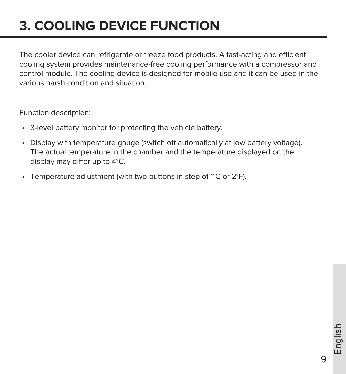# **3. COOLING DEVICE FUNCTION**

The cooler device can refrigerate or freeze food products. A fast-acting and efficient cooling system provides maintenance-free cooling performance with a compressor and control module. The cooling device is designed for mobile use and it can be used in the various harsh condition and situation.

Function description:

- 3-level battery monitor for protecting the vehicle battery.
- Display with temperature gauge (switch off automatically at low battery voltage). The actual temperature in the chamber and the temperature displayed on the display may differ up to 4°C.
- Temperature adjustment (with two buttons in step of 1°C or 2°F).

 $\mathsf{Q}$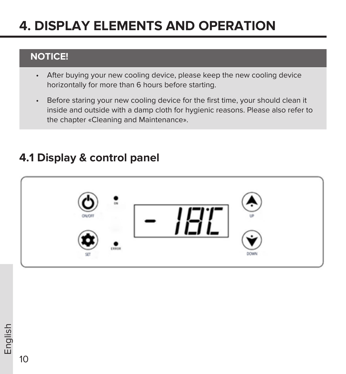# **4. DISPLAY ELEMENTS AND OPERATION**

## **NOTICE!**

- After buying your new cooling device, please keep the new cooling device horizontally for more than 6 hours before starting.
- Before staring your new cooling device for the first time, your should clean it inside and outside with a damp cloth for hygienic reasons. Please also refer to the chapter «Cleaning and Maintenance».

# $10000$

## **4.1 Display & control panel**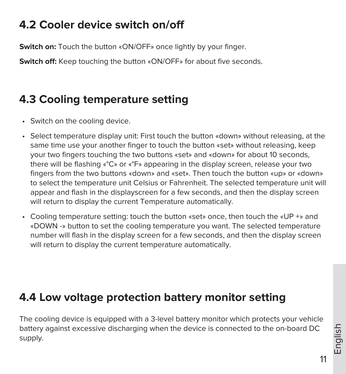# **4.2 Cooler device switch on/off**

**Switch on:** Touch the button «ON/OFF» once lightly by your finger.

**Switch off:** Keep touching the button «ON/OFF» for about five seconds.

# **4.3 Cooling temperature setting**

- Switch on the cooling device.
- Select temperature display unit: First touch the button «down» without releasing, at the same time use your another finger to touch the button «set» without releasing, keep your two fingers touching the two buttons «set» and «down» for about 10 seconds, there will be flashing «°C» or «°F» appearing in the display screen, release your two fingers from the two buttons «down» and «set». Then touch the button «up» or «down» to select the temperature unit Celsius or Fahrenheit. The selected temperature unit will appear and flash in the displayscreen for a few seconds, and then the display screen will return to display the current Temperature automatically.
- Cooling temperature setting: touch the button «set» once, then touch the «UP +» and «DOWN -» button to set the cooling temperature you want. The selected temperature number will flash in the display screen for a few seconds, and then the display screen will return to display the current temperature automatically.

## **4.4 Low voltage protection battery monitor setting**

The cooling device is equipped with a 3-level battery monitor which protects your vehicle battery against excessive discharging when the device is connected to the on-board DC supply.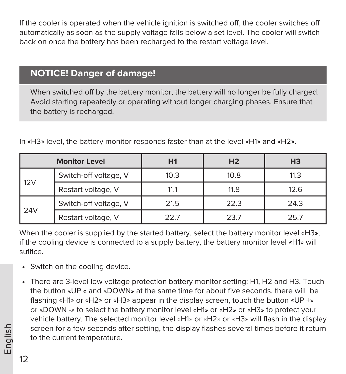If the cooler is operated when the vehicle ignition is switched off, the cooler switches off automatically as soon as the supply voltage falls below a set level. The cooler will switch back on once the battery has been recharged to the restart voltage level.

## **NOTICE! Danger of damage!**

When switched off by the battery monitor, the battery will no longer be fully charged. Avoid starting repeatedly or operating without longer charging phases. Ensure that the battery is recharged.

|     | <b>Monitor Level</b>  | Η1   | H <sub>2</sub> | H <sub>3</sub> |
|-----|-----------------------|------|----------------|----------------|
|     | Switch-off voltage, V | 10.3 | 10.8           | 11.3           |
| 12V | Restart voltage, V    | 11.1 | 11.8           | 12.6           |
|     | Switch-off voltage, V | 21.5 | 22.3           | 24.3           |
| 24V | Restart voltage, V    | 22.7 | 23.7           | 25.7           |

In «H3» level, the battery monitor responds faster than at the level «H1» and «H2».

When the cooler is supplied by the started battery, select the battery monitor level «H3». if the cooling device is connected to a supply battery, the battery monitor level «H1» will suffice.

- Switch on the cooling device.
- There are 3-level low voltage protection battery monitor setting: H1, H2 and H3. Touch the button «UP « and «DOWN» at the same time for about five seconds, there will be flashing «H1» or «H2» or «H3» appear in the display screen, touch the button «UP +» or «DOWN -» to select the battery monitor level «H1» or «H2» or «H3» to protect your vehicle battery. The selected monitor level «H1» or «H2» or «H3» will flash in the display screen for a few seconds after setting, the display flashes several times before it return to the current temperature.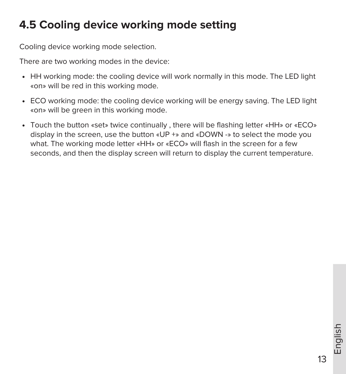# **4.5 Cooling device working mode setting**

Cooling device working mode selection.

There are two working modes in the device:

- HH working mode: the cooling device will work normally in this mode. The LED light «on» will be red in this working mode.
- ECO working mode: the cooling device working will be energy saving. The LED light «on» will be green in this working mode.
- Touch the button «set» twice continually , there will be flashing letter «HH» or «ECO» display in the screen, use the button «UP +» and «DOWN -» to select the mode you what. The working mode letter «HH» or «ECO» will flash in the screen for a few seconds, and then the display screen will return to display the current temperature.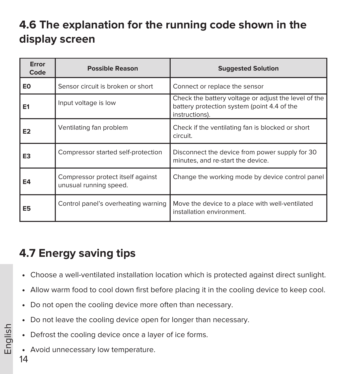# **4.6 The explanation for the running code shown in the display screen**

| Error<br>Code  | <b>Possible Reason</b>                                      | <b>Suggested Solution</b>                                                                                             |
|----------------|-------------------------------------------------------------|-----------------------------------------------------------------------------------------------------------------------|
| E0             | Sensor circuit is broken or short                           | Connect or replace the sensor                                                                                         |
| E <sub>1</sub> | Input voltage is low                                        | Check the battery voltage or adjust the level of the<br>battery protection system (point 4.4 of the<br>instructions). |
| E <sub>2</sub> | Ventilating fan problem                                     | Check if the ventilating fan is blocked or short<br>circuit.                                                          |
| E3             | Compressor started self-protection                          | Disconnect the device from power supply for 30<br>minutes, and re-start the device.                                   |
| E4             | Compressor protect itself against<br>unusual running speed. | Change the working mode by device control panel                                                                       |
| E5             | Control panel's overheating warning                         | Move the device to a place with well-ventilated<br>installation environment.                                          |

# **4.7 Energy saving tips**

- Choose a well-ventilated installation location which is protected against direct sunlight.
- Allow warm food to cool down first before placing it in the cooling device to keep cool.
- Do not open the cooling device more often than necessary.
- Do not leave the cooling device open for longer than necessary.
- Defrost the cooling device once a layer of ice forms.
- Avoid unnecessary low temperature.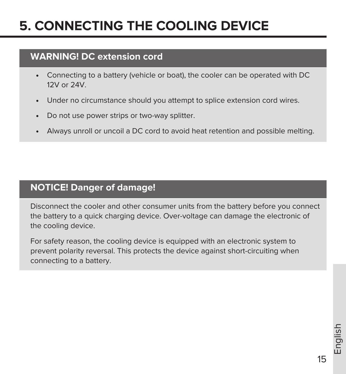# **5. CONNECTING THE COOLING DEVICE**

## **WARNING! DC extension cord**

- Connecting to a battery (vehicle or boat), the cooler can be operated with DC 12V or 24V.
- Under no circumstance should you attempt to splice extension cord wires.
- Do not use power strips or two-way splitter.
- Always unroll or uncoil a DC cord to avoid heat retention and possible melting.

## **NOTICE! Danger of damage!**

Disconnect the cooler and other consumer units from the battery before you connect the battery to a quick charging device. Over-voltage can damage the electronic of the cooling device.

For safety reason, the cooling device is equipped with an electronic system to prevent polarity reversal. This protects the device against short-circuiting when connecting to a battery.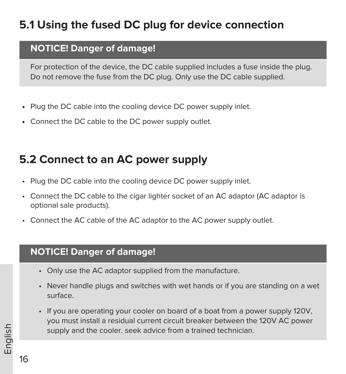# **5.1 Using the fused DC plug for device connection**

#### **NOTICE! Danger of damage!**

For protection of the device, the DC cable supplied includes a fuse inside the plug. Do not remove the fuse from the DC plug. Only use the DC cable supplied.

- Plug the DC cable into the cooling device DC power supply inlet.
- Connect the DC cable to the DC power supply outlet.

# **5.2 Connect to an AC power supply**

- Plug the DC cable into the cooling device DC power supply inlet.
- Connect the DC cable to the cigar lighter socket of an AC adaptor (AC adaptor is optional sale products).
- Connect the AC cable of the AC adaptor to the AC power supply outlet.

#### **NOTICE! Danger of damage!**

- Only use the AC adaptor supplied from the manufacture.
- Never handle plugs and switches with wet hands or if you are standing on a wet surface.
- If you are operating your cooler on board of a boat from a power supply 120V, you must install a residual current circuit breaker between the 120V AC power supply and the cooler. seek advice from a trained technician.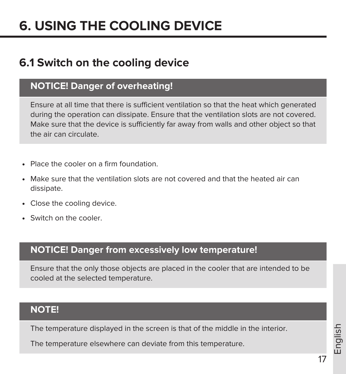# **6. USING THE COOLING DEVICE**

## **6.1 Switch on the cooling device**

#### **NOTICE! Danger of overheating!**

Ensure at all time that there is sufficient ventilation so that the heat which generated during the operation can dissipate. Ensure that the ventilation slots are not covered. Make sure that the device is sufficiently far away from walls and other object so that the air can circulate.

- Place the cooler on a firm foundation.
- Make sure that the ventilation slots are not covered and that the heated air can dissipate.
- Close the cooling device.
- Switch on the cooler.

#### **NOTICE! Danger from excessively low temperature!**

Ensure that the only those objects are placed in the cooler that are intended to be cooled at the selected temperature.

#### **NOTE!**

The temperature displayed in the screen is that of the middle in the interior.

The temperature elsewhere can deviate from this temperature.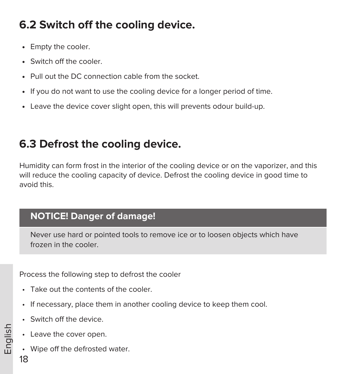# **6.2 Switch off the cooling device.**

- Empty the cooler.
- Switch off the cooler.
- Pull out the DC connection cable from the socket.
- If you do not want to use the cooling device for a longer period of time.
- Leave the device cover slight open, this will prevents odour build-up.

# **6.3 Defrost the cooling device.**

Humidity can form frost in the interior of the cooling device or on the vaporizer, and this will reduce the cooling capacity of device. Defrost the cooling device in good time to avoid this.

## **NOTICE! Danger of damage!**

Never use hard or pointed tools to remove ice or to loosen objects which have frozen in the cooler.

Process the following step to defrost the cooler

- Take out the contents of the cooler.
- If necessary, place them in another cooling device to keep them cool.
- Switch off the device.
- Leave the cover open.
- Wipe off the defrosted water.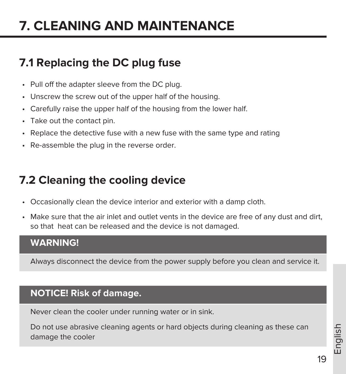# **7. CLEANING AND MAINTENANCE**

# **7.1 Replacing the DC plug fuse**

- Pull off the adapter sleeve from the DC plug.
- Unscrew the screw out of the upper half of the housing.
- Carefully raise the upper half of the housing from the lower half.
- Take out the contact pin.
- Replace the detective fuse with a new fuse with the same type and rating
- Re-assemble the plug in the reverse order.

# **7.2 Cleaning the cooling device**

- Occasionally clean the device interior and exterior with a damp cloth.
- Make sure that the air inlet and outlet vents in the device are free of any dust and dirt, so that heat can be released and the device is not damaged.

#### **WARNING!**

Always disconnect the device from the power supply before you clean and service it.

## **NOTICE! Risk of damage.**

Never clean the cooler under running water or in sink.

Do not use abrasive cleaning agents or hard objects during cleaning as these can damage the cooler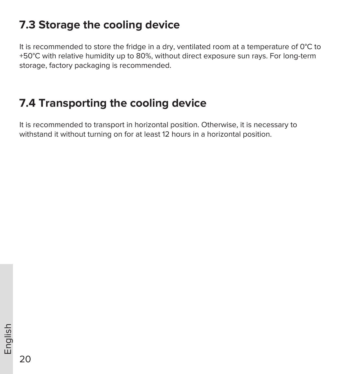## **7.3 Storage the cooling device**

It is recommended to store the fridge in a dry, ventilated room at a temperature of 0°С to +50°С with relative humidity up to 80%, without direct exposure sun rays. For long-term storage, factory packaging is recommended.

## **7.4 Transporting the cooling device**

It is recommended to transport in horizontal position. Otherwise, it is necessary to withstand it without turning on for at least 12 hours in a horizontal position.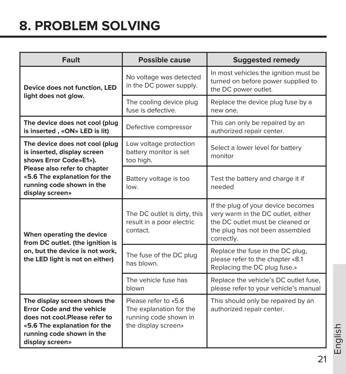# **8. PROBLEM SOLVING**

| Fault                                                                                                                                                                              | <b>Possible cause</b>                                                                           | <b>Suggested remedy</b>                                                                                                                                       |
|------------------------------------------------------------------------------------------------------------------------------------------------------------------------------------|-------------------------------------------------------------------------------------------------|---------------------------------------------------------------------------------------------------------------------------------------------------------------|
| Device does not function, LED<br>light does not glow.                                                                                                                              | No voltage was detected<br>in the DC power supply.                                              | In most vehicles the ignition must be<br>turned on before power supplied to<br>the DC power outlet.                                                           |
|                                                                                                                                                                                    | The cooling device plug<br>fuse is defective.                                                   | Replace the device plug fuse by a<br>new one.                                                                                                                 |
| The device does not cool (plug<br>is inserted, «ON» LED is lit)                                                                                                                    | Defective compressor                                                                            | This can only be repaired by an<br>authorized repair center.                                                                                                  |
| The device does not cool (plug<br>is inserted, display screen<br>shows Error Code»E1»).                                                                                            | Low voltage protection<br>battery monitor is set<br>too high.                                   | Select a lower level for battery<br>monitor                                                                                                                   |
| Please also refer to chapter<br>«5.6 The explanation for the<br>running code shown in the<br>display screen»                                                                       | Battery voltage is too<br>low.                                                                  | Test the battery and charge it if<br>needed                                                                                                                   |
| When operating the device<br>from DC outlet. (the ignition is                                                                                                                      | The DC outlet is dirty, this<br>result in a poor electric<br>contact.                           | If the plug of your device becomes<br>very warm in the DC outlet, either<br>the DC outlet must be cleaned or<br>the plug has not been assembled<br>correctly. |
| on, but the device is not work,<br>the LED light is not on either)                                                                                                                 | The fuse of the DC plug<br>has blown.                                                           | Replace the fuse in the DC plug,<br>please refer to the chapter «8.1<br>Replacing the DC plug fuse.»                                                          |
|                                                                                                                                                                                    | The vehicle fuse has<br>hlown                                                                   | Replace the vehicle's DC outlet fuse,<br>please refer to your vehicle's manual                                                                                |
| The display screen shows the<br><b>Error Code and the vehicle</b><br>does not cool.Please refer to<br>«5.6 The explanation for the<br>running code shown in the<br>display screen» | Please refer to «5.6<br>The explanation for the<br>running code shown in<br>the display screen» | This should only be repaired by an<br>authorized repair center.                                                                                               |

English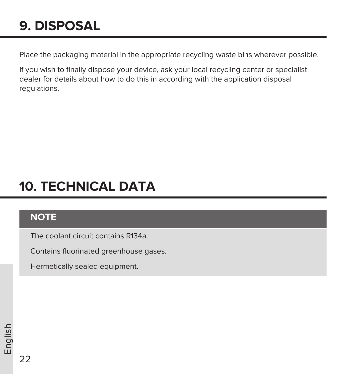# **9. DISPOSAL**

Place the packaging material in the appropriate recycling waste bins wherever possible.

If you wish to finally dispose your device, ask your local recycling center or specialist dealer for details about how to do this in according with the application disposal regulations.

# **10. TECHNICAL DATA**

## **NOTE**

The coolant circuit contains R134a.

Contains fluorinated greenhouse gases.

Hermetically sealed equipment.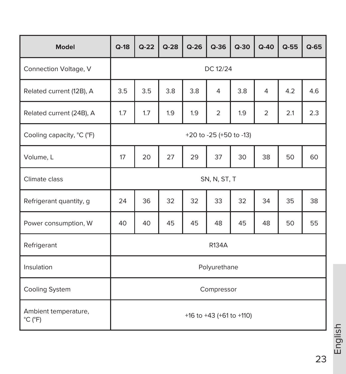| <b>Model</b>                                         | $Q-18$                   | $Q - 22$ | $Q-28$ | $Q-26$ | $Q-36$         | $Q - 30$ | $Q-40$         | $Q-55$ | $Q-65$ |
|------------------------------------------------------|--------------------------|----------|--------|--------|----------------|----------|----------------|--------|--------|
| Connection Voltage, V                                | DC 12/24                 |          |        |        |                |          |                |        |        |
| Related current (12B), A                             | 3.5                      | 3.5      | 3.8    | 3.8    | $\overline{4}$ | 3.8      | $\overline{4}$ | 4.2    | 4.6    |
| Related current (24B), A                             | 1.7                      | 1.7      | 1.9    | 1.9    | 2              | 1.9      | $\overline{2}$ | 2.1    | 2.3    |
| Cooling capacity, °C (°F)                            | +20 to -25 (+50 to -13)  |          |        |        |                |          |                |        |        |
| Volume, L                                            | 17                       | 20       | 27     | 29     | 37             | 30       | 38             | 50     | 60     |
| Climate class                                        | SN, N, ST, T             |          |        |        |                |          |                |        |        |
| Refrigerant quantity, g                              | 24                       | 36       | 32     | 32     | 33             | 32       | 34             | 35     | 38     |
| Power consumption, W                                 | 40                       | 40       | 45     | 45     | 48             | 45       | 48             | 50     | 55     |
| Refrigerant                                          | <b>R134A</b>             |          |        |        |                |          |                |        |        |
| Insulation                                           | Polyurethane             |          |        |        |                |          |                |        |        |
| Cooling System                                       | Compressor               |          |        |        |                |          |                |        |        |
| Ambient temperature,<br>$^{\circ}$ C ( $^{\circ}$ F) | +16 to +43 (+61 to +110) |          |        |        |                |          |                |        |        |

English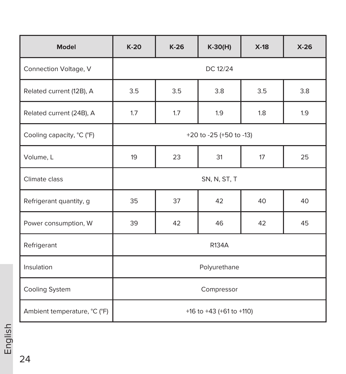| Model                        | $K-20$                     | $K-26$ | $K-30(H)$ | $X-18$ | $X-26$ |
|------------------------------|----------------------------|--------|-----------|--------|--------|
| Connection Voltage, V        | DC 12/24                   |        |           |        |        |
| Related current (12B), A     | 3.5                        | 3.5    | 3.8       | 3.5    | 3.8    |
| Related current (24B), A     | 1.7                        | 1.7    | 1.9       | 1.8    | 1.9    |
| Cooling capacity, °C (°F)    | +20 to -25 (+50 to -13)    |        |           |        |        |
| Volume, L                    | 19<br>23<br>31<br>25<br>17 |        |           |        |        |
| Climate class                | SN, N, ST, T               |        |           |        |        |
| Refrigerant quantity, g      | 35                         | 37     | 42        | 40     | 40     |
| Power consumption, W         | 39                         | 42     | 46        | 42     | 45     |
| Refrigerant                  | R134A                      |        |           |        |        |
| Insulation                   | Polyurethane               |        |           |        |        |
| Cooling System               | Compressor                 |        |           |        |        |
| Ambient temperature, °C (°F) | +16 to +43 (+61 to +110)   |        |           |        |        |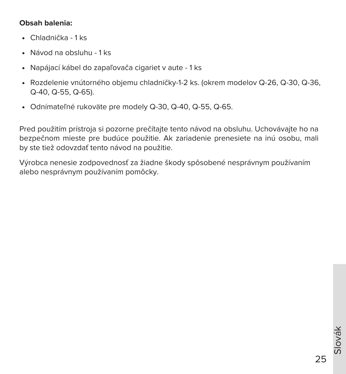#### **Obsah balenia:**

- Chladnička 1 ks
- Návod na obsluhu 1 ks
- Napájací kábel do zapaľovača cigariet v aute 1 ks
- Rozdelenie vnútorného objemu chladničky-1-2 ks. (okrem modelov Q-26, Q-30, Q-36, Q-40, Q-55, Q-65).
- Odnímateľné rukoväte pre modely Q-30, Q-40, Q-55, Q-65.

Pred použitím prístroja si pozorne prečítajte tento návod na obsluhu. Uchovávajte ho na bezpečnom mieste pre budúce použitie. Ak zariadenie prenesiete na inú osobu, mali by ste tiež odovzdať tento návod na použitie.

Výrobca nenesie zodpovednosť za žiadne škody spôsobené nesprávnym používaním alebo nesprávnym používaním pomôcky.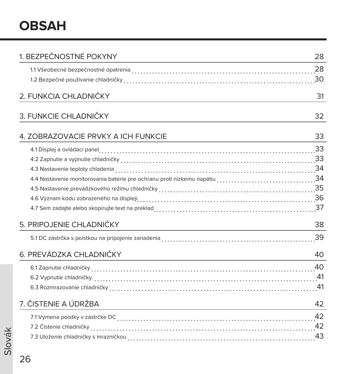| 1. BEZPEČNOSTNÉ POKYNY              | 28 |
|-------------------------------------|----|
|                                     |    |
|                                     |    |
| 2. FUNKCIA CHLADNIČKY               | 31 |
| 3. FUNKCIE CHLADNIČKY               | 32 |
| 4. ZOBRAZOVACIE PRVKY A ICH FUNKCIE | 33 |
|                                     |    |
|                                     |    |
|                                     |    |
|                                     |    |
|                                     |    |
|                                     |    |
|                                     |    |
| 5. PRIPOJENIE CHLADNIČKY            | 38 |
|                                     |    |
| 6. PREVÁDZKA CHLADNIČKY             | 40 |
|                                     |    |
|                                     |    |
|                                     |    |
| 7. ČISTENIE A ÚDRŽBA                | 42 |
|                                     | 42 |
|                                     |    |
|                                     |    |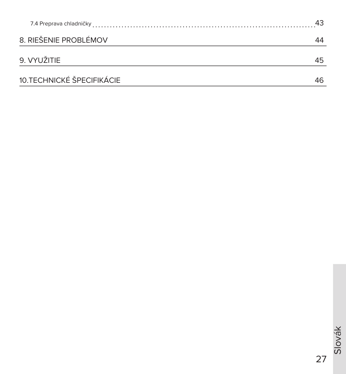| 8. RIEŠENIE PROBLÉMOV     | 44 |
|---------------------------|----|
| 9. VYUŽITIE               | 45 |
| 10.TECHNICKÉ ŠPECIFIKÁCIE |    |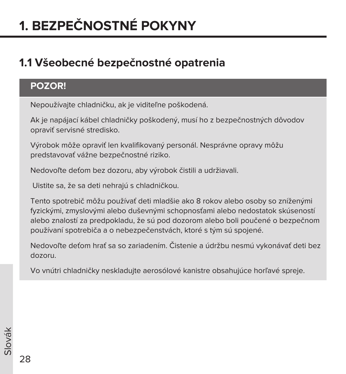# **1. BEZPEČNOSTNÉ POKYNY**

# **1.1 Všeobecné bezpečnostné opatrenia**

## **POZOR!**

Nepoužívajte chladničku, ak je viditeľne poškodená.

Ak je napájací kábel chladničky poškodený, musí ho z bezpečnostných dôvodov opraviť servisné stredisko.

Výrobok môže opraviť len kvalifikovaný personál. Nesprávne opravy môžu predstavovať vážne bezpečnostné riziko.

Nedovoľte deťom bez dozoru, aby výrobok čistili a udržiavali.

Uistite sa, že sa deti nehrajú s chladničkou.

Tento spotrebič môžu používať deti mladšie ako 8 rokov alebo osoby so zníženými fyzickými, zmyslovými alebo duševnými schopnosťami alebo nedostatok skúseností alebo znalostí za predpokladu, že sú pod dozorom alebo boli poučené o bezpečnom používaní spotrebiča a o nebezpečenstvách, ktoré s tým sú spojené.

Nedovoľte deťom hrať sa so zariadením. Čistenie a údržbu nesmú vykonávať deti bez dozoru.

Vo vnútri chladničky neskladujte aerosólové kanistre obsahujúce horľavé spreje.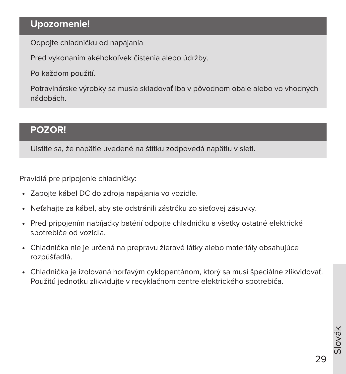## **Upozornenie!**

Odpojte chladničku od napájania

Pred vykonaním akéhokoľvek čistenia alebo údržby.

Po každom použití.

Potravinárske výrobky sa musia skladovať iba v pôvodnom obale alebo vo vhodných nádobách.

#### **POZOR!**

Uistite sa, že napätie uvedené na štítku zodpovedá napätiu v sieti.

Pravidlá pre pripojenie chladničky:

- Zapojte kábel DC do zdroja napájania vo vozidle.
- Neťahajte za kábel, aby ste odstránili zástrčku zo sieťovej zásuvky.
- Pred pripojením nabíjačky batérií odpojte chladničku a všetky ostatné elektrické spotrebiče od vozidla.
- Chladnička nie je určená na prepravu žieravé látky alebo materiály obsahujúce rozpúšťadlá.
- Chladnička je izolovaná horľavým cyklopentánom, ktorý sa musí špeciálne zlikvidovať. Použitú jednotku zlikvidujte v recyklačnom centre elektrického spotrebiča.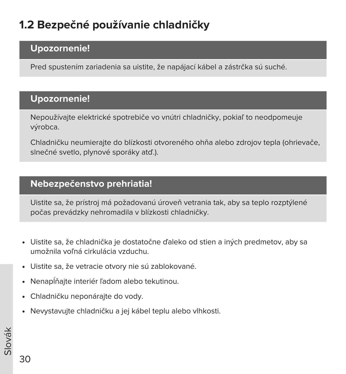# **1.2 Bezpečné používanie chladničky**

### **Upozornenie!**

Pred spustením zariadenia sa uistite, že napájací kábel a zástrčka sú suché.

#### **Upozornenie!**

Nepoužívajte elektrické spotrebiče vo vnútri chladničky, pokiaľ to neodpomeuje výrobca.

Chladničku neumierajte do blízkosti otvoreného ohňa alebo zdrojov tepla (ohrievače, slnečné svetlo, plynové sporáky atď.).

## **Nebezpečenstvo prehriatia!**

Uistite sa, že prístroj má požadovanú úroveň vetrania tak, aby sa teplo rozptýlené počas prevádzky nehromadila v blízkosti chladničky.

- Uistite sa, že chladnička je dostatočne ďaleko od stien a iných predmetov, aby sa umožnila voľná cirkulácia vzduchu.
- Uistite sa, že vetracie otvory nie sú zablokované.
- Nenapĺňajte interiér ľadom alebo tekutinou.
- Chladničku neponárajte do vody.
- Nevystavujte chladničku a jej kábel teplu alebo vlhkosti.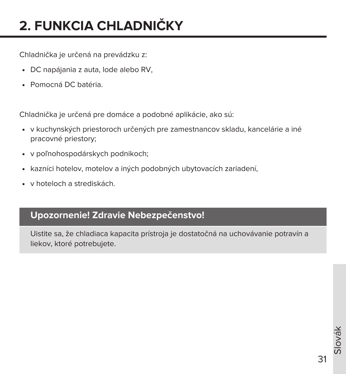# **2. FUNKCIA CHLADNIČKY**

Chladnička je určená na prevádzku z:

- DC napájania z auta, lode alebo RV,
- Pomocná DC batéria.

Chladnička je určená pre domáce a podobné aplikácie, ako sú:

- v kuchynských priestoroch určených pre zamestnancov skladu, kancelárie a iné pracovné priestory;
- v poľnohospodárskych podnikoch;
- kazníci hotelov, motelov a iných podobných ubytovacích zariadení,
- v hoteloch a strediskách.

### **Upozornenie! Zdravie Nebezpečenstvo!**

Uistite sa, že chladiaca kapacita prístroja je dostatočná na uchovávanie potravín a liekov, ktoré potrebujete.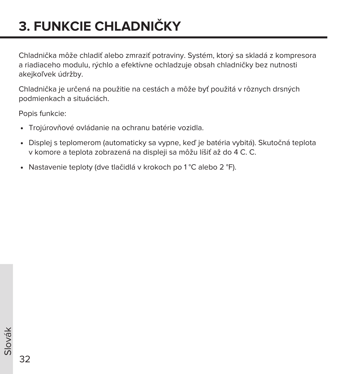# **3. FUNKCIE CHLADNIČKY**

Chladnička môže chladiť alebo zmraziť potraviny. Systém, ktorý sa skladá z kompresora a riadiaceho modulu, rýchlo a efektívne ochladzuje obsah chladničky bez nutnosti akejkoľvek údržby.

Chladnička je určená na použitie na cestách a môže byť použitá v rôznych drsných podmienkach a situáciách.

Popis funkcie:

- Trojúrovňové ovládanie na ochranu batérie vozidla.
- Displej s teplomerom (automaticky sa vypne, keď je batéria vybitá). Skutočná teplota v komore a teplota zobrazená na displeji sa môžu líšiť až do 4 C. C.
- Nastavenie teploty (dve tlačidlá v krokoch po 1 °C alebo 2 °F).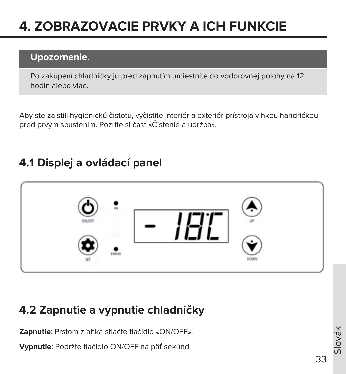# **4. ZOBRAZOVACIE PRVKY A ICH FUNKCIE**

## **Upozornenie.**

Po zakúpení chladničky ju pred zapnutím umiestnite do vodorovnej polohy na 12 hodín alebo viac.

Aby ste zaistili hygienickú čistotu, vyčistite interiér a exteriér prístroja vlhkou handričkou pred prvým spustením. Pozrite si časť «Čistenie a údržba».

## **4.1 Displej a ovládací panel**



## **4.2 Zapnutie a vypnutie chladničky**

**Zapnutie**: Prstom zľahka stlačte tlačidlo «ON/OFF».

**Vypnutie**: Podržte tlačidlo ON/OFF na päť sekúnd.

lovák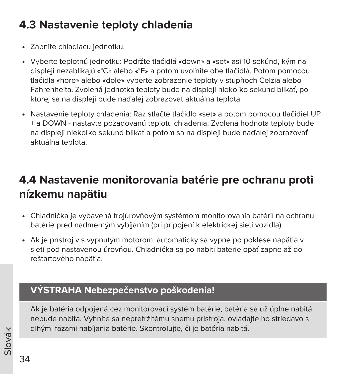# **4.3 Nastavenie teploty chladenia**

- Zapnite chladiacu jednotku.
- Vyberte teplotnú jednotku: Podržte tlačidlá «down» a «set» asi 10 sekúnd, kým na displeji nezablikajú «°C» alebo «°F» a potom uvoľnite obe tlačidlá. Potom pomocou tlačidla «hore» alebo «dole» vyberte zobrazenie teploty v stupňoch Celzia alebo Fahrenheita. Zvolená jednotka teploty bude na displeji niekoľko sekúnd blikať, po ktorej sa na displeji bude naďalej zobrazovať aktuálna teplota.
- Nastavenie teploty chladenia: Raz stlačte tlačidlo «set» a potom pomocou tlačidiel UP + a DOWN - nastavte požadovanú teplotu chladenia. Zvolená hodnota teploty bude na displeji niekoľko sekúnd blikať a potom sa na displeji bude naďalej zobrazovať aktuálna teplota.

# **4.4 Nastavenie monitorovania batérie pre ochranu proti nízkemu napätiu**

- Chladnička je vybavená trojúrovňovým systémom monitorovania batérií na ochranu batérie pred nadmerným vybíjaním (pri pripojení k elektrickej sieti vozidla).
- Ak je prístroj v s vypnutým motorom, automaticky sa vypne po poklese napätia v sieti pod nastavenou úrovňou. Chladnička sa po nabití batérie opäť zapne až do reštartového napätia.

## **VÝSTRAHA Nebezpečenstvo poškodenia!**

Ak je batéria odpojená cez monitorovací systém batérie, batéria sa už úplne nabitá nebude nabitá. Vyhnite sa nepretržitému snemu prístroja, ovládajte ho striedavo s dlhými fázami nabíjania batérie. Skontrolujte, či je batéria nabitá.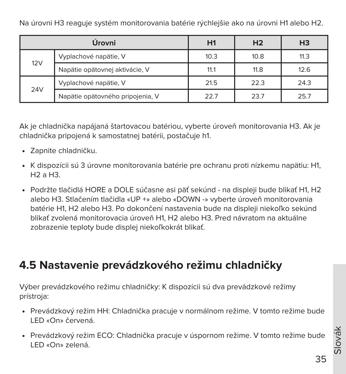Na úrovni H3 reaguje systém monitorovania batérie rýchlejšie ako na úrovni H1 alebo H2.

|     | Úrovni                           | H1   | H <sub>2</sub> | H <sub>3</sub> |
|-----|----------------------------------|------|----------------|----------------|
| 12V | Vyplachové napätie, V            | 10.3 | 10.8           | 11.3           |
|     | Napätie opätovnej aktivácie, V   | 11.1 | 11.8           | 12.6           |
|     | Vyplachové napätie, V            | 21.5 | 22.3           | 24.3           |
| 24V | Napätie opätovného pripojenia, V | 22.7 | 23.7           | 25.7           |

Ak je chladnička napájaná štartovacou batériou, vyberte úroveň monitorovania H3. Ak je chladnička pripojená k samostatnej batérii, postačuje h1.

- Zapnite chladničku.
- K dispozícii sú 3 úrovne monitorovania batérie pre ochranu proti nízkemu napätiu: H1,  $H2aH3$
- Podržte tlačidlá HORE a DOLE súčasne asi päť sekúnd na displeji bude blikať H1, H2 alebo H3. Stlačením tlačidla «UP +» alebo «DOWN -» vyberte úroveň monitorovania batérie H1, H2 alebo H3. Po dokončení nastavenia bude na displeji niekoľko sekúnd blikať zvolená monitorovacia úroveň H1, H2 alebo H3. Pred návratom na aktuálne zobrazenie teploty bude displej niekoľkokrát blikať.

## **4.5 Nastavenie prevádzkového režimu chladničky**

Výber prevádzkového režimu chladničky: K dispozícii sú dva prevádzkové režimy prístroja:

- Prevádzkový režim HH: Chladnička pracuje v normálnom režime. V tomto režime bude LED «On» červená.
- Prevádzkový režim ECO: Chladnička pracuje v úspornom režime. V tomto režime bude LED «On» zelená.

Slovák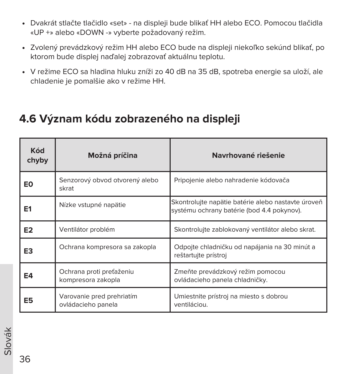- Dvakrát stlačte tlačidlo «set» na displeji bude blikať HH alebo ECO. Pomocou tlačidla «UP +» alebo «DOWN -» vyberte požadovaný režim.
- Zvolený prevádzkový režim HH alebo ECO bude na displeji niekoľko sekúnd blikať, po ktorom bude displej naďalej zobrazovať aktuálnu teplotu.
- V režime ECO sa hladina hluku zníži zo 40 dB na 35 dB, spotreba energie sa uloží, ale chladenie je pomalšie ako v režime HH.

## **4.6 Význam kódu zobrazeného na displeji**

| <b>Kód</b><br>chyby | Možná príčina                                   | Navrhované riešenie                                                                              |
|---------------------|-------------------------------------------------|--------------------------------------------------------------------------------------------------|
| EO                  | Senzorový obvod otvorený alebo<br>skrat         | Pripojenie alebo nahradenie kódovača                                                             |
| E <sub>1</sub>      | Nízke vstupné napätie                           | Skontrolujte napätie batérie alebo nastavte úroveň<br>systému ochrany batérie (bod 4.4 pokynov). |
| E <sub>2</sub>      | Ventilátor problém                              | Skontroluite zablokovaný ventilátor alebo skrat.                                                 |
| E3                  | Ochrana kompresora sa zakopla                   | Odpojte chladničku od napájania na 30 minút a<br>reštartujte prístroj                            |
| E4                  | Ochrana proti preťaženiu<br>kompresora zakopla  | Zmeňte prevádzkový režim pomocou<br>ovládacieho panela chladničky.                               |
| E5                  | Varovanie pred prehriatím<br>ovládacieho panela | Umiestnite prístroj na miesto s dobrou<br>ventiláciou.                                           |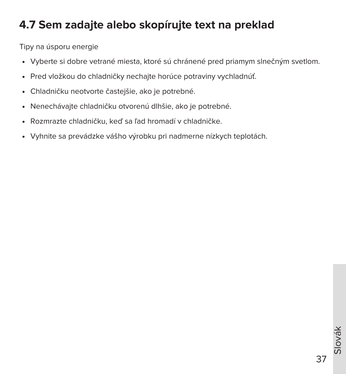## **4.7 Sem zadajte alebo skopírujte text na preklad**

Tipy na úsporu energie

- Vyberte si dobre vetrané miesta, ktoré sú chránené pred priamym slnečným svetlom.
- Pred vložkou do chladničky nechajte horúce potraviny vychladnúť.
- Chladničku neotvorte častejšie, ako je potrebné.
- Nenechávajte chladničku otvorenú dlhšie, ako je potrebné.
- Rozmrazte chladničku, keď sa ľad hromadí v chladničke.
- Vyhnite sa prevádzke vášho výrobku pri nadmerne nízkych teplotách.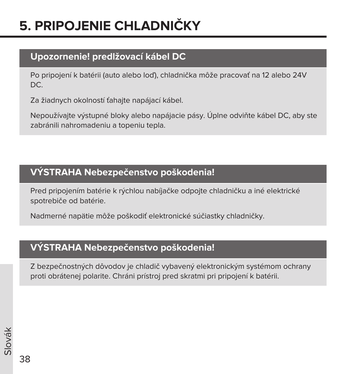# **5. PRIPOJENIE CHLADNIČKY**

### **Upozornenie! predlžovací kábel DC**

Po pripojení k batérii (auto alebo loď), chladnička môže pracovať na 12 alebo 24V DC.

Za žiadnych okolností ťahajte napájací kábel.

Nepoužívajte výstupné bloky alebo napájacie pásy. Úplne odviňte kábel DC, aby ste zabránili nahromadeniu a topeniu tepla.

## **VÝSTRAHA Nebezpečenstvo poškodenia!**

Pred pripojením batérie k rýchlou nabíjačke odpojte chladničku a iné elektrické spotrebiče od batérie.

Nadmerné napätie môže poškodiť elektronické súčiastky chladničky.

### **VÝSTRAHA Nebezpečenstvo poškodenia!**

Z bezpečnostných dôvodov je chladič vybavený elektronickým systémom ochrany proti obrátenej polarite. Chráni prístroj pred skratmi pri pripojení k batérii.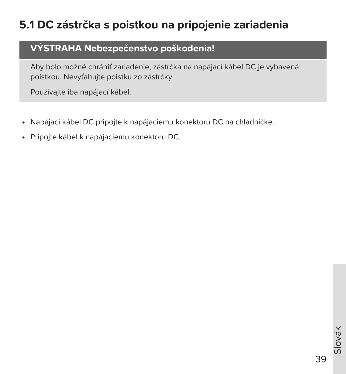# **5.1 DC zástrčka s poistkou na pripojenie zariadenia**

### **VÝSTRAHA Nebezpečenstvo poškodenia!**

Aby bolo možné chrániť zariadenie, zástrčka na napájací kábel DC je vybavená poistkou. Nevyťahujte poistku zo zástrčky.

Používajte iba napájací kábel.

- Napájací kábel DC pripojte k napájaciemu konektoru DC na chladničke.
- Pripojte kábel k napájaciemu konektoru DC.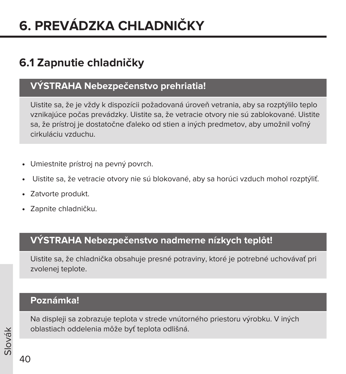# **6. PREVÁDZKA CHLADNIČKY**

## **6.1 Zapnutie chladničky**

### **VÝSTRAHA Nebezpečenstvo prehriatia!**

Uistite sa, že je vždy k dispozícii požadovaná úroveň vetrania, aby sa rozptýlilo teplo vznikajúce počas prevádzky. Uistite sa, že vetracie otvory nie sú zablokované. Uistite sa, že prístroj je dostatočne ďaleko od stien a iných predmetov, aby umožnil voľný cirkuláciu vzduchu.

- Umiestnite prístroj na pevný povrch.
- Uistite sa, že vetracie otvory nie sú blokované, aby sa horúci vzduch mohol rozptýliť.
- Zatvorte produkt.
- Zapnite chladničku.

#### **VÝSTRAHA Nebezpečenstvo nadmerne nízkych teplôt!**

Uistite sa, že chladnička obsahuje presné potraviny, ktoré je potrebné uchovávať pri zvolenej teplote.

#### **Poznámka!**

Na displeji sa zobrazuje teplota v strede vnútorného priestoru výrobku. V iných oblastiach oddelenia môže byť teplota odlišná.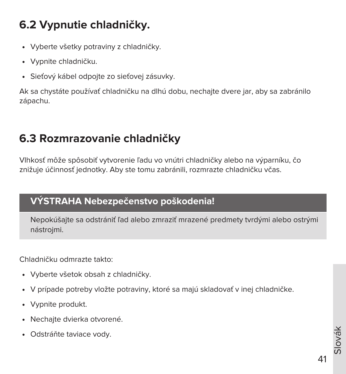# **6.2 Vypnutie chladničky.**

- Vyberte všetky potraviny z chladničky.
- Vypnite chladničku.
- Sieťový kábel odpojte zo sieťovej zásuvky.

Ak sa chystáte používať chladničku na dlhú dobu, nechajte dvere jar, aby sa zabránilo zápachu.

## **6.3 Rozmrazovanie chladničky**

Vlhkosť môže spôsobiť vytvorenie ľadu vo vnútri chladničky alebo na výparníku, čo znižuje účinnosť jednotky. Aby ste tomu zabránili, rozmrazte chladničku včas.

#### **VÝSTRAHA Nebezpečenstvo poškodenia!**

Nepokúšajte sa odstrániť ľad alebo zmraziť mrazené predmety tvrdými alebo ostrými nástrojmi.

Chladničku odmrazte takto:

- Vyberte všetok obsah z chladničky.
- V prípade potreby vložte potraviny, ktoré sa majú skladovať v inej chladničke.
- Vypnite produkt.
- Nechajte dvierka otvorené.
- Odstráňte taviace vody.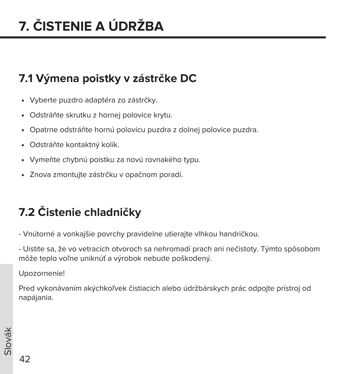# **7.1 Výmena poistky v zástrčke DC**

- Vyberte puzdro adaptéra zo zástrčky.
- Odstráňte skrutku z hornej polovice krytu.
- Opatrne odstráňte hornú polovicu puzdra z dolnej polovice puzdra.
- Odstráňte kontaktný kolík.
- Vymeňte chybnú poistku za novú rovnakého typu.
- Znova zmontujte zástrčku v opačnom poradí.

# **7.2 Čistenie chladničky**

- Vnútorné a vonkajšie povrchy pravidelne utierajte vlhkou handričkou.

- Uistite sa, že vo vetracích otvoroch sa nehromadí prach ani nečistoty. Týmto spôsobom môže teplo voľne uniknúť a výrobok nebude poškodený.

Upozornenie!

Pred vykonávaním akýchkoľvek čistiacich alebo údržbárskych prác odpojte prístroj od napájania.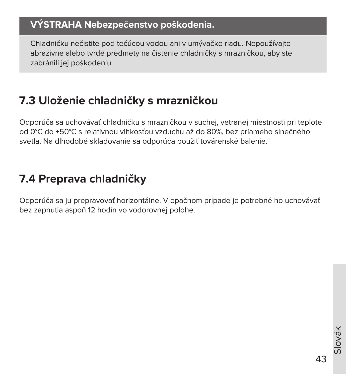### **VÝSTRAHA Nebezpečenstvo poškodenia.**

Chladničku nečistite pod tečúcou vodou ani v umývačke riadu. Nepoužívajte abrazívne alebo tvrdé predmety na čistenie chladničky s mrazničkou, aby ste zabránili jej poškodeniu

## **7.3 Uloženie chladničky s mrazničkou**

Odporúča sa uchovávať chladničku s mrazničkou v suchej, vetranej miestnosti pri teplote od 0°С do +50°С s relatívnou vlhkosťou vzduchu až do 80%, bez priameho slnečného svetla. Na dlhodobé skladovanie sa odporúča použiť továrenské balenie.

## **7.4 Preprava chladničky**

Odporúča sa ju prepravovať horizontálne. V opačnom prípade je potrebné ho uchovávať bez zapnutia aspoň 12 hodín vo vodorovnej polohe.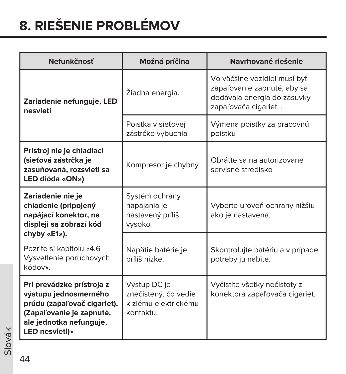# **8. RIEŠENIE PROBLÉMOV**

| Nefunkčnosť                                                                                                                                                | Možná príčina                                                             | Navrhované riešenie                                                                                               |  |  |
|------------------------------------------------------------------------------------------------------------------------------------------------------------|---------------------------------------------------------------------------|-------------------------------------------------------------------------------------------------------------------|--|--|
| Zariadenie nefunguje, LED<br>nesvieti                                                                                                                      | Žiadna energia.                                                           | Vo väčšine vozidiel musí byť<br>zapaľovanie zapnuté, aby sa<br>dodávala energia do zásuvky<br>zapaľovača cigariet |  |  |
|                                                                                                                                                            | Poistka v sieťovej<br>zástrčke vybuchla                                   | Výmena poistky za pracovnú<br>poistku                                                                             |  |  |
| Prístroj nie je chladiaci<br>(sieťová zástrčka je<br>zasuňovaná, rozsvieti sa<br>LED dióda «ON»)                                                           | Kompresor je chybný                                                       | Obráťte sa na autorizované<br>servisné stredisko                                                                  |  |  |
| Zariadenie nie je<br>chladenie (pripojený<br>napájací konektor, na<br>displeji sa zobrazí kód<br>chyby «E1»).                                              | Systém ochrany<br>napájania je<br>nastavený príliš<br>vysoko              | Vyberte úroveň ochrany nižšiu<br>ako je nastavená.                                                                |  |  |
| Pozrite si kapitolu «4.6<br>Vysvetlenie poruchových<br>kódov».                                                                                             | Napätie batérie je<br>príliš nízke.                                       | Skontrolujte batériu a v prípade<br>potreby ju nabite.                                                            |  |  |
| Pri prevádzke prístroja z<br>výstupu jednosmerného<br>prúdu (zapaľovač cigariet).<br>(Zapaľovanie je zapnuté,<br>ale jednotka nefunguje,<br>LED nesvieti)» | Výstup DC je<br>znečistený, čo vedie<br>k zlému elektrickému<br>kontaktu. | Vyčistite všetky nečistoty z<br>konektora zapaľovača cigariet.                                                    |  |  |

Slovák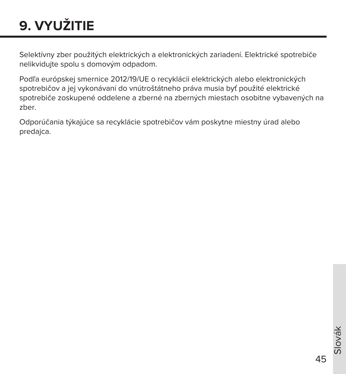# **9. VYUŽITIE**

Selektívny zber použitých elektrických a elektronických zariadení. Elektrické spotrebiče nelikvidujte spolu s domovým odpadom.

Podľa európskej smernice 2012/19/UE o recyklácii elektrických alebo elektronických spotrebičov a jej vykonávaní do vnútroštátneho práva musia byť použité elektrické spotrebiče zoskupené oddelene a zberné na zberných miestach osobitne vybavených na zber.

Odporúčania týkajúce sa recyklácie spotrebičov vám poskytne miestny úrad alebo predajca.

45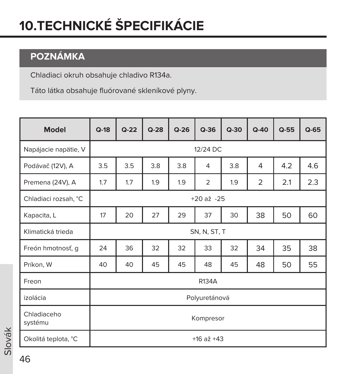# **10.TECHNICKÉ ŠPECIFIKÁCIE**

## **POZNÁMKA**

Chladiaci okruh obsahuje chladivo R134a.

Táto látka obsahuje fluórované skleníkové plyny.

| <b>Model</b>           | $Q-18$       | $Q-22$                                       | $Q-28$ | $Q-26$ | $Q-36$         | $Q-30$ | $Q - 40$       | $Q-55$ | $Q-65$ |
|------------------------|--------------|----------------------------------------------|--------|--------|----------------|--------|----------------|--------|--------|
| Napájacie napätie, V   |              | 12/24 DC                                     |        |        |                |        |                |        |        |
| Podávač (12V), A       | 3.5          | 3.5                                          | 3.8    | 3.8    | $\overline{4}$ | 3.8    | 4              | 4.2    | 4.6    |
| Premena (24V), A       | 1.7          | 1.7                                          | 1.9    | 1.9    | $\overline{2}$ | 1.9    | $\overline{2}$ | 2.1    | 2.3    |
| Chladiaci rozsah, °C   |              |                                              |        |        | $+20$ až $-25$ |        |                |        |        |
| Kapacita, L            | 17           | 20                                           | 27     | 29     | 37             | 30     | 38             | 50     | 60     |
| Klimatická trieda      | SN, N, ST, T |                                              |        |        |                |        |                |        |        |
| Freón hmotnosť, g      | 24           | 35<br>32<br>32<br>33<br>32<br>34<br>38<br>36 |        |        |                |        |                |        |        |
| Príkon, W              | 40           | 40                                           | 45     | 45     | 48             | 45     | 48             | 50     | 55     |
| Freon                  |              | R134A                                        |        |        |                |        |                |        |        |
| izolácia               |              | Polyuretánová                                |        |        |                |        |                |        |        |
| Chladiaceho<br>systému | Kompresor    |                                              |        |        |                |        |                |        |        |
| Okolitá teplota, °C    |              |                                              |        |        | $+16$ až $+43$ |        |                |        |        |

Slovák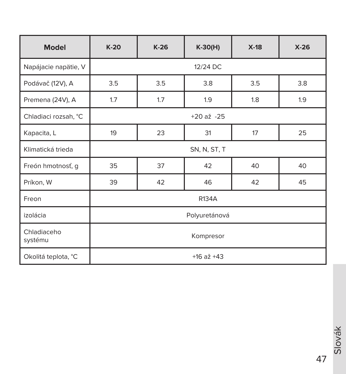| <b>Model</b>           | $K-20$               | $K-26$   | $K-30(H)$ | $X-18$ | $X-26$ |  |  |  |  |
|------------------------|----------------------|----------|-----------|--------|--------|--|--|--|--|
| Napájacie napätie, V   |                      | 12/24 DC |           |        |        |  |  |  |  |
| Podávač (12V), A       | 3.5                  | 3.5      | 3.8       | 3.5    | 3.8    |  |  |  |  |
| Premena (24V), A       | 1.7                  | 1.7      | 1.9       | 1.8    | 1.9    |  |  |  |  |
| Chladiaci rozsah, °C   | $+20 a\check{z} -25$ |          |           |        |        |  |  |  |  |
| Kapacita, L            | 19                   | 23       | 31        | 17     | 25     |  |  |  |  |
| Klimatická trieda      | SN, N, ST, T         |          |           |        |        |  |  |  |  |
| Freón hmotnosť, g      | 35                   | 37       | 42        | 40     | 40     |  |  |  |  |
| Príkon, W              | 39                   | 42       | 46        | 42     | 45     |  |  |  |  |
| Freon                  |                      |          | R134A     |        |        |  |  |  |  |
| izolácia               | Polyuretánová        |          |           |        |        |  |  |  |  |
| Chladiaceho<br>systému | Kompresor            |          |           |        |        |  |  |  |  |
| Okolitá teplota, °C    | $+16$ až $+43$       |          |           |        |        |  |  |  |  |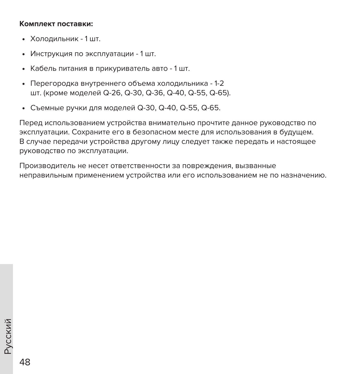#### **Комплект поставки:**

- Холодильник 1 шт.
- Инструкция по эксплуатации 1 шт.
- Кабель питания в прикуриватель авто 1 шт.
- Перегородка внутреннего объема холодильника 1-2 шт. (кроме моделей Q-26, Q-30, Q-36, Q-40, Q-55, Q-65).
- Съемные ручки для моделей Q-30, Q-40, Q-55, Q-65.

Перед использованием устройства внимательно прочтите данное руководство по эксплуатации. Сохраните его в безопасном месте для использования в будущем. В случае передачи устройства другому лицу следует также передать и настоящее руководство по эксплуатации.

Производитель не несет ответственности за повреждения, вызванные неправильным применением устройства или его использованием не по назначению.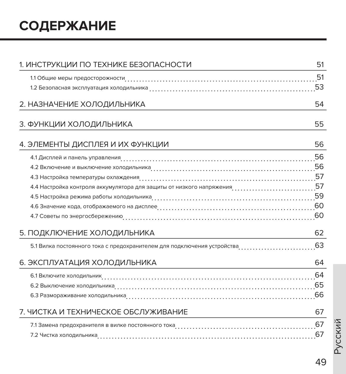# **СОДЕРЖАНИЕ**

| 1. ИНСТРУКЦИИ ПО ТЕХНИКЕ БЕЗОПАСНОСТИ                                     | 51 |
|---------------------------------------------------------------------------|----|
|                                                                           |    |
|                                                                           |    |
| 2. НАЗНАЧЕНИЕ ХОЛОДИЛЬНИКА                                                | 54 |
| 3. ФУНКЦИИ ХОЛОДИЛЬНИКА                                                   | 55 |
| 4. ЭЛЕМЕНТЫ ДИСПЛЕЯ И ИХ ФУНКЦИИ                                          | 56 |
|                                                                           |    |
|                                                                           |    |
|                                                                           |    |
|                                                                           |    |
|                                                                           |    |
|                                                                           |    |
|                                                                           |    |
| 5. ПОДКЛЮЧЕНИЕ ХОЛОДИЛЬНИКА                                               | 62 |
| 5.1 Вилка постоянного тока с предохранителем для подключения устройства63 |    |
| 6. ЭКСПЛУАТАЦИЯ ХОЛОДИЛЬНИКА                                              | 64 |
|                                                                           |    |
|                                                                           |    |
|                                                                           |    |
| 7. ЧИСТКА И ТЕХНИЧЕСКОЕ ОБСЛУЖИВАНИЕ                                      | 67 |
|                                                                           |    |
|                                                                           | 67 |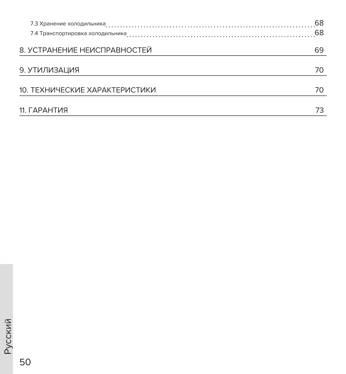|                                | 68 |
|--------------------------------|----|
|                                | 68 |
| 8. УСТРАНЕНИЕ НЕИСПРАВНОСТЕЙ   | 69 |
| 9. УТИЛИЗАЦИЯ                  | 70 |
| 10. ТЕХНИЧЕСКИЕ ХАРАКТЕРИСТИКИ | 70 |
| 11. ГАРАНТИЯ                   |    |

50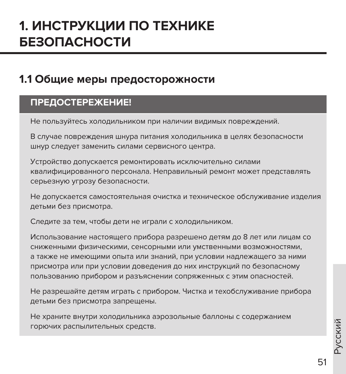# **1. ИНСТРУКЦИИ ПО ТЕХНИКЕ БЕЗОПАСНОСТИ**

## **1.1 Общие меры предосторожности**

#### **ПРЕДОСТЕРЕЖЕНИЕ!**

Не пользуйтесь холодильником при наличии видимых повреждений.

В случае повреждения шнура питания холодильника в целях безопасности шнур следует заменить силами сервисного центра.

Устройство допускается ремонтировать исключительно силами квалифицированного персонала. Неправильный ремонт может представлять серьезную угрозу безопасности.

Не допускается самостоятельная очистка и техническое обслуживание изделия детьми без присмотра.

Следите за тем, чтобы дети не играли с холодильником.

Использование настоящего прибора разрешено детям до 8 лет или лицам со сниженными физическими, сенсорными или умственными возможностями, а также не имеющими опыта или знаний, при условии надлежащего за ними присмотра или при условии доведения до них инструкций по безопасному пользованию прибором и разъяснении сопряженных с этим опасностей.

Не разрешайте детям играть с прибором. Чистка и техобслуживание прибора детьми без присмотра запрещены.

Не храните внутри холодильника аэрозольные баллоны с содержанием горючих распылительных средств.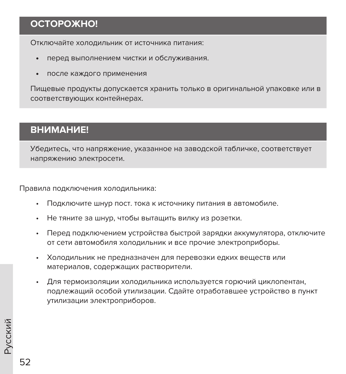## **ОСТОРОЖНО!**

Отключайте холодильник от источника питания:

- перед выполнением чистки и обслуживания.
- после каждого применения

Пищевые продукты допускается хранить только в оригинальной упаковке или в соответствующих контейнерах.

#### **ВНИМАНИЕ!**

Убедитесь, что напряжение, указанное на заводской табличке, соответствует напряжению электросети.

Правила подключения холодильника:

- Подключите шнур пост. тока к источнику питания в автомобиле.
- Не тяните за шнур, чтобы вытащить вилку из розетки.
- Перед подключением устройства быстрой зарядки аккумулятора, отключите от сети автомобиля холодильник и все прочие электроприборы.
- Холодильник не предназначен для перевозки едких веществ или материалов, содержащих растворители.
- Для термоизоляции холодильника используется горючий циклопентан, подлежащий особой утилизации. Сдайте отработавшее устройство в пункт утилизации электроприборов.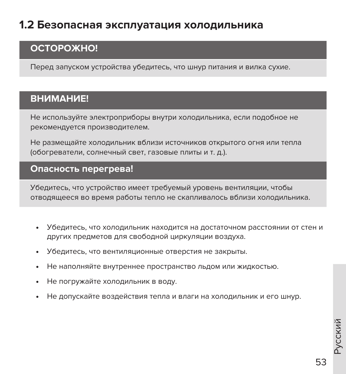## **1.2 Безопасная эксплуатация холодильника**

### **ОСТОРОЖНО!**

Перед запуском устройства убедитесь, что шнур питания и вилка сухие.

### **ВНИМАНИЕ!**

Не используйте электроприборы внутри холодильника, если подобное не рекомендуется производителем.

Не размещайте холодильник вблизи источников открытого огня или тепла (обогреватели, солнечный свет, газовые плиты и т. д.).

#### **Опасность перегрева!**

Убедитесь, что устройство имеет требуемый уровень вентиляции, чтобы отводящееся во время работы тепло не скапливалось вблизи холодильника.

- Убедитесь, что холодильник находится на достаточном расстоянии от стен и других предметов для свободной циркуляции воздуха.
- Убедитесь, что вентиляционные отверстия не закрыты.
- Не наполняйте внутреннее пространство льдом или жидкостью.
- Не погружайте холодильник в воду.
- Не допускайте воздействия тепла и влаги на холодильник и его шнур.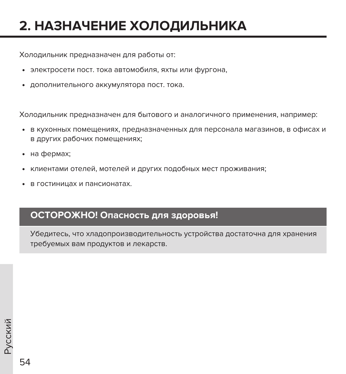# **2. НАЗНАЧЕНИЕ ХОЛОДИЛЬНИКА**

Холодильник предназначен для работы от:

- электросети пост. тока автомобиля, яхты или фургона,
- дополнительного аккумулятора пост. тока.

Холодильник предназначен для бытового и аналогичного применения, например:

- в кухонных помещениях, предназначенных для персонала магазинов, в офисах и в других рабочих помещениях;
- на фермах;
- клиентами отелей, мотелей и других подобных мест проживания;
- в гостиницах и пансионатах.

#### **ОСТОРОЖНО! Опасность для здоровья!**

Убедитесь, что хладопроизводительность устройства достаточна для хранения требуемых вам продуктов и лекарств.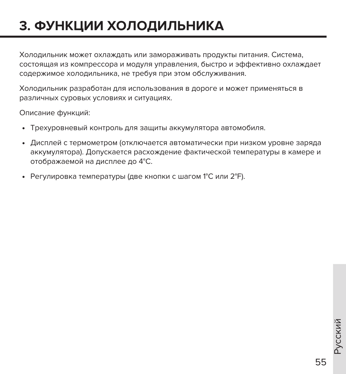# **3. ФУНКЦИИ ХОЛОДИЛЬНИКА**

Холодильник может охлаждать или замораживать продукты питания. Система, состоящая из компрессора и модуля управления, быстро и эффективно охлаждает содержимое холодильника, не требуя при этом обслуживания.

Холодильник разработан для использования в дороге и может применяться в различных суровых условиях и ситуациях.

Описание функций:

- Трехуровневый контроль для защиты аккумулятора автомобиля.
- Дисплей с термометром (отключается автоматически при низком уровне заряда аккумулятора). Допускается расхождение фактической температуры в камере и отображаемой на дисплее до 4°C.
- Регулировка температуры (две кнопки с шагом 1°C или 2°F).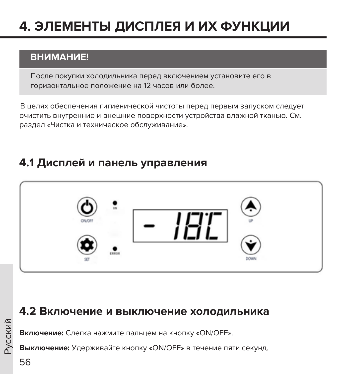# **4. ЭЛЕМЕНТЫ ДИСПЛЕЯ И ИХ ФУНКЦИИ**

### **ВНИМАНИЕ!**

После покупки холодильника перед включением установите его в горизонтальное положение на 12 часов или более.

 В целях обеспечения гигиенической чистоты перед первым запуском следует очистить внутренние и внешние поверхности устройства влажной тканью. См. раздел «Чистка и техническое обслуживание».

### **4.1 Дисплей и панель управления**



### **4.2 Включение и выключение холодильника**

**Включение:** Слегка нажмите пальцем на кнопку «ON/OFF».

**Выключение:** Удерживайте кнопку «ON/OFF» в течение пяти секунд.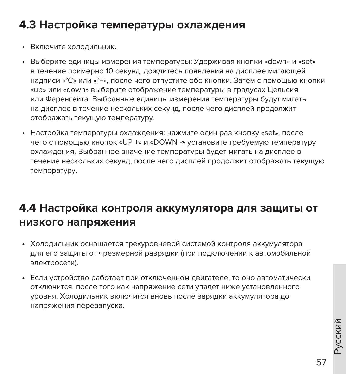## **4.3 Настройка температуры охлаждения**

- Включите холодильник.
- Выберите единицы измерения температуры: Удерживая кнопки «down» и «set» в течение примерно 10 секунд, дождитесь появления на дисплее мигающей надписи «°C» или «°F», после чего отпустите обе кнопки. Затем с помощью кнопки «up» или «down» выберите отображение температуры в градусах Цельсия или Фаренгейта. Выбранные единицы измерения температуры будут мигать на дисплее в течение нескольких секунд, после чего дисплей продолжит отображать текущую температуру.
- Настройка температуры охлаждения: нажмите один раз кнопку «set», после чего с помощью кнопок «UP +» и «DOWN -» установите требуемую температуру охлаждения. Выбранное значение температуры будет мигать на дисплее в течение нескольких секунд, после чего дисплей продолжит отображать текущую температуру.

## **4.4 Настройка контроля аккумулятора для защиты от низкого напряжения**

- Холодильник оснащается трехуровневой системой контроля аккумулятора для его защиты от чрезмерной разрядки (при подключении к автомобильной электросети).
- Если устройство работает при отключенном двигателе, то оно автоматически отключится, после того как напряжение сети упадет ниже установленного уровня. Холодильник включится вновь после зарядки аккумулятора до напряжения перезапуска.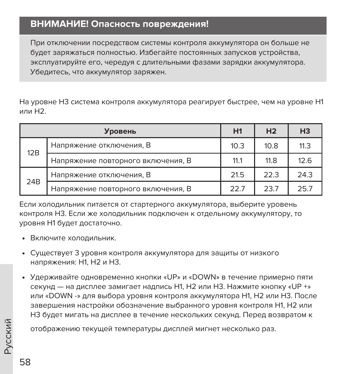### **ВНИМАНИЕ! Опасность повреждения!**

При отключении посредством системы контроля аккумулятора он больше не будет заряжаться полностью. Избегайте постоянных запусков устройства, эксплуатируйте его, чередуя с длительными фазами зарядки аккумулятора. Убедитесь, что аккумулятор заряжен.

На уровне H3 система контроля аккумулятора реагирует быстрее, чем на уровне H1 или H2.

|     | Уровень                            | H1   | H <sub>2</sub> | H <sub>3</sub> |
|-----|------------------------------------|------|----------------|----------------|
| 12B | Напряжение отключения, В           | 10.3 | 10.8           | 11.3           |
|     | Напряжение повторного включения, В | 11.1 | 11.8           | 12.6           |
|     | Напряжение отключения, В           | 21.5 | 22.3           | 24.3           |
| 24B | Напряжение повторного включения, В | 227  | 23.7           | 25.7           |

Если холодильник питается от стартерного аккумулятора, выберите уровень контроля H3. Если же холодильник подключен к отдельному аккумулятору, то уровня H1 будет достаточно.

- Включите холодильник.
- Существует 3 уровня контроля аккумулятора для защиты от низкого напряжения: H1, H2 и H3.
- Удерживайте одновременно кнопки «UP» и «DOWN» в течение примерно пяти секунд — на дисплее замигает надпись H1, H2 или H3. Нажмите кнопку «UP +» или «DOWN -» для выбора уровня контроля аккумулятора H1, H2 или H3. После завершения настройки обозначение выбранного уровня контроля H1, H2 или H3 будет мигать на дисплее в течение нескольких секунд. Перед возвратом к

отображению текущей температуры дисплей мигнет несколько раз.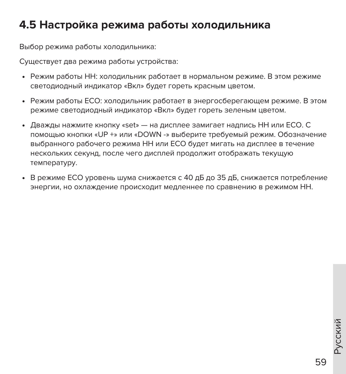## **4.5 Настройка режима работы холодильника**

Выбор режима работы холодильника:

Существует два режима работы устройства:

- Режим работы HH: холодильник работает в нормальном режиме. В этом режиме светодиодный индикатор «Вкл» будет гореть красным цветом.
- Режим работы ECO: холодильник работает в энергосберегающем режиме. В этом режиме светодиодный индикатор «Вкл» будет гореть зеленым цветом.
- Дважды нажмите кнопку «set» на дисплее замигает надпись HH или ECO. С помощью кнопки «UP +» или «DOWN -» выберите требуемый режим. Обозначение выбранного рабочего режима HH или ECO будет мигать на дисплее в течение нескольких секунд, после чего дисплей продолжит отображать текущую температуру.
- В режиме ECO уровень шума снижается с 40 дБ до 35 дБ, снижается потребление энергии, но охлаждение происходит медленнее по сравнению в режимом HH.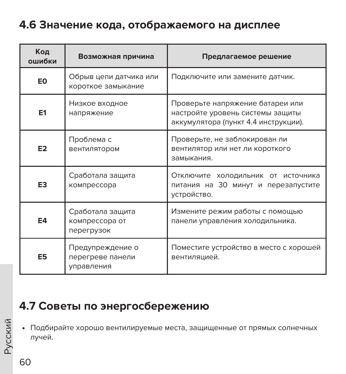## **4.6 Значение кода, отображаемого на дисплее**

| Код<br>ошибки  | Возможная причина                                  | Предлагаемое решение                                                                                         |
|----------------|----------------------------------------------------|--------------------------------------------------------------------------------------------------------------|
| E <sub>0</sub> | Обрыв цепи датчика или<br>короткое замыкание       | Подключите или замените датчик.                                                                              |
| E <sub>1</sub> | Низкое входное<br>напряжение                       | Проверьте напряжение батареи или<br>настройте уровень системы защиты<br>аккумулятора (пункт 4.4 инструкции). |
| E <sub>2</sub> | Проблема с<br>вентилятором                         | Проверьте, не заблокирован ли<br>вентилятор или нет ли короткого<br>замыкания.                               |
| E <sub>3</sub> | Сработала защита<br>компрессора                    | Отключите холодильник от источника<br>питания на 30 минут и перезапустите<br>устройство.                     |
| E4             | Сработала защита<br>компрессора от<br>перегрузок   | Измените режим работы с помощью<br>панели управления холодильника.                                           |
| E <sub>5</sub> | Предупреждение о<br>перегреве панели<br>управления | Поместите устройство в место с хорошей<br>вентиляцией.                                                       |

## **4.7 Советы по энергосбережению**

• Подбирайте хорошо вентилируемые места, защищенные от прямых солнечных лучей.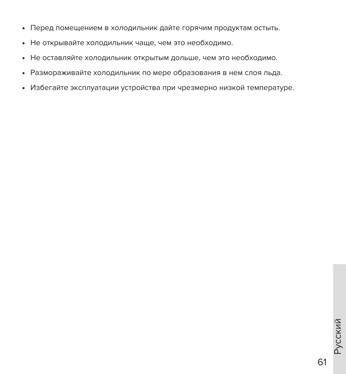- Перед помещением в холодильник дайте горячим продуктам остыть.
- Не открывайте холодильник чаще, чем это необходимо.
- Не оставляйте холодильник открытым дольше, чем это необходимо.
- Размораживайте холодильник по мере образования в нем слоя льда.
- Избегайте эксплуатации устройства при чрезмерно низкой температуре.

61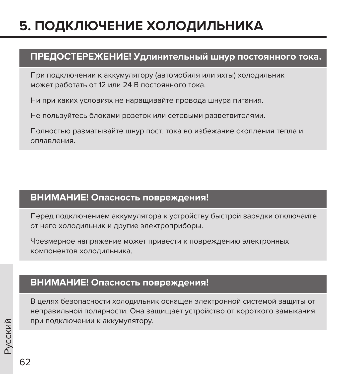# **5. ПОДКЛЮЧЕНИЕ ХОЛОДИЛЬНИКА**

### **ПРЕДОСТЕРЕЖЕНИЕ! Удлинительный шнур постоянного тока.**

При подключении к аккумулятору (автомобиля или яхты) холодильник может работать от 12 или 24 В постоянного тока.

Ни при каких условиях не наращивайте провода шнура питания.

Не пользуйтесь блоками розеток или сетевыми разветвителями.

Полностью разматывайте шнур пост. тока во избежание скопления тепла и оплавления.

#### **ВНИМАНИЕ! Опасность повреждения!**

Перед подключением аккумулятора к устройству быстрой зарядки отключайте от него холодильник и другие электроприборы.

Чрезмерное напряжение может привести к повреждению электронных компонентов холодильника.

### **ВНИМАНИЕ! Опасность повреждения!**

В целях безопасности холодильник оснащен электронной системой защиты от неправильной полярности. Она защищает устройство от короткого замыкания при подключении к аккумулятору.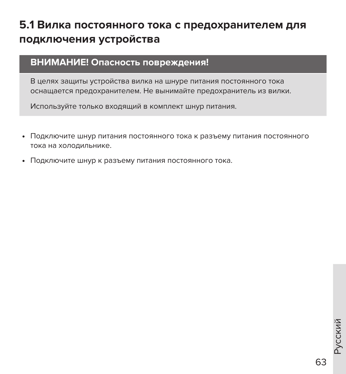## **5.1 Вилка постоянного тока с предохранителем для подключения устройства**

#### **ВНИМАНИЕ! Опасность повреждения!**

В целях защиты устройства вилка на шнуре питания постоянного тока оснащается предохранителем. Не вынимайте предохранитель из вилки.

Используйте только входящий в комплект шнур питания.

- Подключите шнур питания постоянного тока к разъему питания постоянного тока на холодильнике.
- Подключите шнур к разъему питания постоянного тока.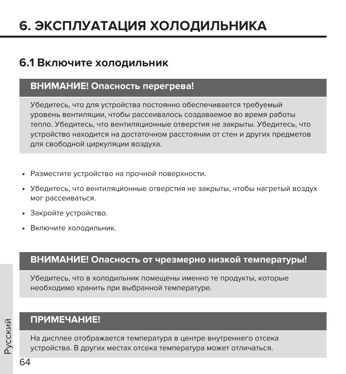# **6. ЭКСПЛУАТАЦИЯ ХОЛОДИЛЬНИКА**

### **6.1 Включите холодильник**

### **ВНИМАНИЕ! Опасность перегрева!**

Убедитесь, что для устройства постоянно обеспечивается требуемый уровень вентиляции, чтобы рассеивалось создаваемое во время работы тепло. Убедитесь, что вентиляционные отверстия не закрыты. Убедитесь, что устройство находится на достаточном расстоянии от стен и других предметов для свободной циркуляции воздуха.

- Разместите устройство на прочной поверхности.
- Убедитесь, что вентиляционные отверстия не закрыты, чтобы нагретый воздух мог рассеиваться.
- Закройте устройство.
- Включите холодильник.

### **ВНИМАНИЕ! Опасность от чрезмерно низкой температуры!**

Убедитесь, что в холодильник помещены именно те продукты, которые необходимо хранить при выбранной температуре.

### **ПРИМЕЧАНИЕ!**

На дисплее отображается температура в центре внутреннего отсека устройства. В других местах отсека температура может отличаться.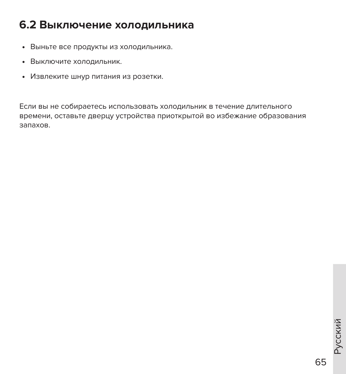## **6.2 Выключение холодильника**

- Выньте все продукты из холодильника.
- Выключите холодильник.
- Извлеките шнур питания из розетки.

Если вы не собираетесь использовать холодильник в течение длительного времени, оставьте дверцу устройства приоткрытой во избежание образования запахов.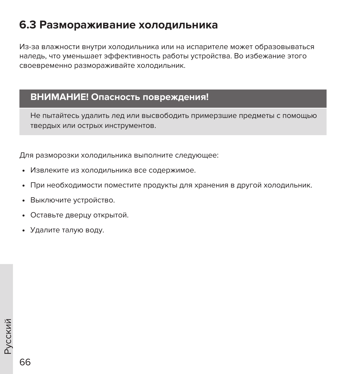## **6.3 Размораживание холодильника**

Из-за влажности внутри холодильника или на испарителе может образовываться наледь, что уменьшает эффективность работы устройства. Во избежание этого своевременно размораживайте холодильник.

#### **ВНИМАНИЕ! Опасность повреждения!**

Не пытайтесь удалить лед или высвободить примерзшие предметы с помощью твердых или острых инструментов.

Для разморозки холодильника выполните следующее:

- Извлеките из холодильника все содержимое.
- При необходимости поместите продукты для хранения в другой холодильник.
- Выключите устройство.
- Оставьте дверцу открытой.
- Удалите талую воду.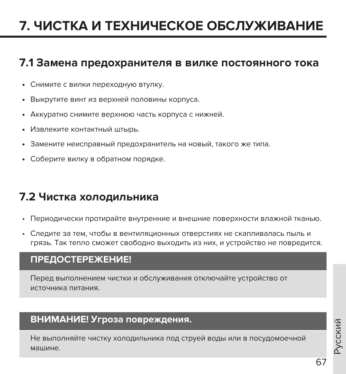# **7. ЧИСТКА И ТЕХНИЧЕСКОЕ ОБСЛУЖИВАНИЕ**

### **7.1 Замена предохранителя в вилке постоянного тока**

- Снимите с вилки переходную втулку.
- Выкрутите винт из верхней половины корпуса.
- Аккуратно снимите верхнюю часть корпуса с нижней.
- Извлеките контактный штырь.
- Замените неисправный предохранитель на новый, такого же типа.
- Соберите вилку в обратном порядке.

## **7.2 Чистка холодильника**

- Периодически протирайте внутренние и внешние поверхности влажной тканью.
- Следите за тем, чтобы в вентиляционных отверстиях не скапливалась пыль и грязь. Так тепло сможет свободно выходить из них, и устройство не повредится.

#### **ПРЕДОСТЕРЕЖЕНИЕ!**

Перед выполнением чистки и обслуживания отключайте устройство от источника питания.

#### **ВНИМАНИЕ! Угроза повреждения.**

Не выполняйте чистку холодильника под струей воды или в посудомоечной машине.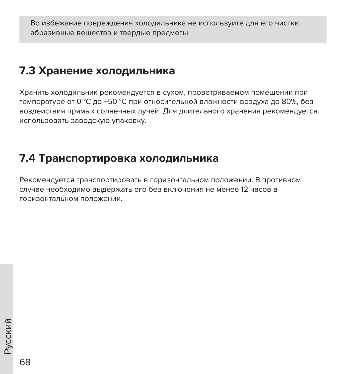Во избежание повреждения холодильника не используйте для его чистки абразивные вещества и твердые предметы

## **7.3 Хранение холодильника**

Хранить холодильник рекомендуется в сухом, проветриваемом помещении при температуре от 0 °С до +50 °С при относительной влажности воздуха до 80%, без воздействия прямых солнечных лучей. Для длительного хранения рекомендуется использовать заводскую упаковку.

## **7.4 Транспортировка холодильника**

Рекомендуется транспортировать в горизонтальном положении. В противном случае необходимо выдержать его без включения не менее 12 часов в горизонтальном положении.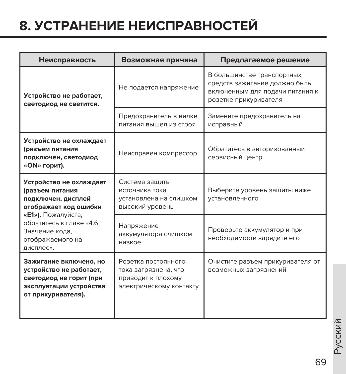# **8. УСТРАНЕНИЕ НЕИСПРАВНОСТЕЙ**

| Неисправность                                                                                                                 | Возможная причина                                                                            | Предлагаемое решение                                                                                                    |  |  |  |
|-------------------------------------------------------------------------------------------------------------------------------|----------------------------------------------------------------------------------------------|-------------------------------------------------------------------------------------------------------------------------|--|--|--|
| Устройство не работает,<br>светодиод не светится.                                                                             | Не подается напряжение                                                                       | В большинстве транспортных<br>средств зажигание должно быть<br>включенным для подачи питания к<br>розетке прикуривателя |  |  |  |
|                                                                                                                               | Предохранитель в вилке<br>питания вышел из строя                                             | Замените предохранитель на<br>исправный                                                                                 |  |  |  |
| Устройство не охлаждает<br>(разъем питания<br>подключен, светодиод<br>«ОN» горит).                                            | Неисправен компрессор                                                                        | Обратитесь в авторизованный<br>сервисный центр.                                                                         |  |  |  |
| Устройство не охлаждает<br>(разъем питания<br>подключен, дисплей<br>отображает код ошибки                                     | Система защиты<br>источника тока<br>установлена на слишком<br>высокий уровень                | Выберите уровень защиты ниже<br>установленного                                                                          |  |  |  |
| « <b>E1»).</b> Пожалуйста,<br>обратитесь к главе «4.6<br>Значение кода,<br>отображаемого на<br>дисплее».                      | Напряжение<br>аккумулятора слишком<br>низкое                                                 | Проверьте аккумулятор и при<br>необходимости зарядите его                                                               |  |  |  |
| Зажигание включено, но<br>устройство не работает,<br>светодиод не горит (при<br>эксплуатации устройства<br>от прикуривателя). | Розетка постоянного<br>тока загрязнена, что<br>приводит к плохому<br>электрическому контакту | Очистите разъем прикуривателя от<br>возможных загрязнений                                                               |  |  |  |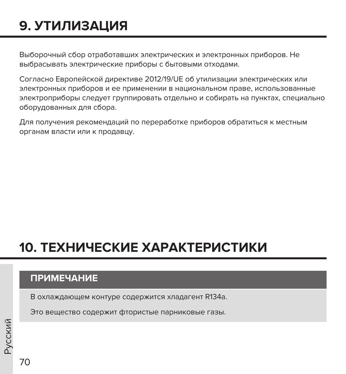# **9. УТИЛИЗАЦИЯ**

Выборочный сбор отработавших электрических и электронных приборов. Не выбрасывать электрические приборы с бытовыми отходами.

Согласно Европейской директиве 2012/19/UE об утилизации электрических или электронных приборов и ее применении в национальном праве, использованные электроприборы следует группировать отдельно и собирать на пунктах, специально оборудованных для сбора.

Для получения рекомендаций по переработке приборов обратиться к местным органам власти или к продавцу.

# **10. ТЕХНИЧЕСКИЕ ХАРАКТЕРИСТИКИ**

### **ПРИМЕЧАНИЕ**

В охлаждающем контуре содержится хладагент R134a.

Это вещество содержит фтористые парниковые газы.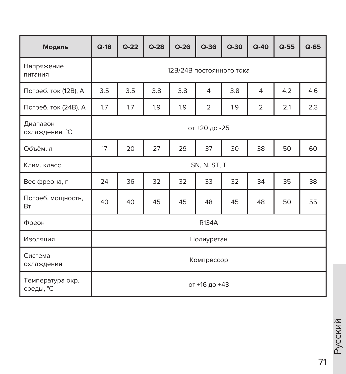| Модель                         | $Q-18$ | $Q-22$                   | $Q-28$ | $Q-26$ | $Q-36$         | $Q-30$ | $Q-40$         | $Q-55$ | $Q-65$ |
|--------------------------------|--------|--------------------------|--------|--------|----------------|--------|----------------|--------|--------|
| Напряжение<br>питания          |        | 12В/24В постоянного тока |        |        |                |        |                |        |        |
| Потреб. ток (12В), А           | 3.5    | 3.5                      | 3.8    | 3.8    | $\overline{4}$ | 3.8    | 4              | 4.2    | 4.6    |
| Потреб. ток (24В), А           | 1.7    | 1.7                      | 1.9    | 1.9    | $\overline{2}$ | 1.9    | $\overline{2}$ | 2.1    | 2.3    |
| Диапазон<br>охлаждения, °С     |        | от +20 до -25            |        |        |                |        |                |        |        |
| Объём, л                       | 17     | 20                       | 27     | 29     | 37             | 30     | 38             | 50     | 60     |
| Клим, класс                    |        |                          |        |        | SN, N, ST, T   |        |                |        |        |
| Вес фреона, г                  | 24     | 36                       | 32     | 32     | 33             | 32     | 34             | 35     | 38     |
| Потреб. мощность,<br><b>BT</b> | 40     | 40                       | 45     | 45     | 48             | 45     | 48             | 50     | 55     |
| Фреон                          |        |                          |        |        | R134A          |        |                |        |        |
| Изоляция                       |        |                          |        |        | Полиуретан     |        |                |        |        |
| Система<br>охлаждения          |        | Компрессор               |        |        |                |        |                |        |        |
| Температура окр.<br>среды, °С  |        |                          |        |        | от +16 до +43  |        |                |        |        |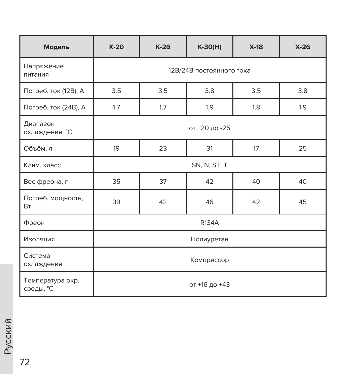| Модель                          | $K-20$        | $K-26$                   | $K-30(H)$ | $X-18$ | $X-26$ |  |  |  |
|---------------------------------|---------------|--------------------------|-----------|--------|--------|--|--|--|
| Напряжение<br>питания           |               | 12В/24В постоянного тока |           |        |        |  |  |  |
| Потреб. ток (12В), А            | 3.5           | 3.5                      | 3.8       | 3.5    | 3.8    |  |  |  |
| Потреб. ток (24В), А            | 1.7           | 1.7                      | 1.9       | 1.8    | 1.9    |  |  |  |
| Диапазон<br>охлаждения, °С      | от +20 до -25 |                          |           |        |        |  |  |  |
| Объём, л                        | 19            | 23                       | 31        | 17     | 25     |  |  |  |
| Клим, класс                     |               | SN, N, ST, T             |           |        |        |  |  |  |
| Вес фреона, г                   | 35            | 37<br>42<br>40<br>40     |           |        |        |  |  |  |
| Потреб. мощность,<br><b>B</b> T | 39            | 42                       | 46        | 42     | 45     |  |  |  |
| Фреон                           |               | <b>R134A</b>             |           |        |        |  |  |  |
| Изоляция                        |               | Полиуретан               |           |        |        |  |  |  |
| Система<br>охлаждения           | Компрессор    |                          |           |        |        |  |  |  |
| Температура окр.<br>среды, °С   | от +16 до +43 |                          |           |        |        |  |  |  |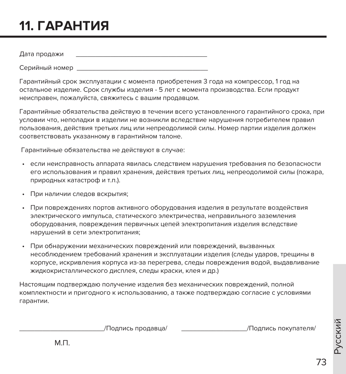## 11. ГАРАНТИЯ

Дата продажи

Серийный номер

Гарантийный срок эксплуатации с момента приобретения 3 года на компрессор. 1 год на остальное изделие. Срок службы изделия - 5 лет с момента производства. Если продукт неисправен, пожалуйста, свяжитесь с вашим продавцом.

Гарантийные обязательства действую в течении всего установленного гарантийного срока, при условии что, неполадки в изделии не возникли вследствие нарушения потребителем правил пользования, действия третьих лиц или непреодолимой силы. Номер партии изделия должен соответствовать указанному в гарантийном талоне.

Гарантийные обязательства не действуют в случае:

- если неисправность аппарата явилась следствием нарушения требования по безопасности его использования и правил хранения, действия третьих лиц, непреодолимой силы (пожара, природных катастроф и т.п.).
- При наличии следов вскрытия:
- При повреждениях портов активного оборудования изделия в результате воздействия электрического импульса, статического электричества, неправильного заземления оборудования, повреждения первичных цепей электропитания изделия вследствие нарушений в сети электропитания;
- При обнаружении механических повреждений или повреждений, вызванных несоблюдением требований хранения и эксплуатации изделия (следы ударов, трещины в корпусе, искривления корпуса из-за перегрева, следы повреждения водой, выдавливание жидкокристаллического дисплея, следы краски, клея и др.)

Настоящим подтверждаю получение изделия без механических повреждений, полной комплектности и пригодного к использованию, а также подтверждаю согласие с условиями гарантии.

/Подпись продавца/

/Подпись покупателя/

 $M \Pi$